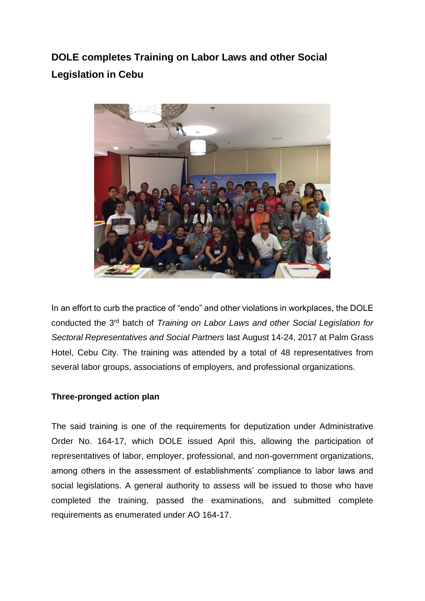**DOLE completes Training on Labor Laws and other Social Legislation in Cebu** 



In an effort to curb the practice of "endo" and other violations in workplaces, the DOLE conducted the 3rd batch of *Training on Labor Laws and other Social Legislation for Sectoral Representatives and Social Partners* last August 14-24, 2017 at Palm Grass Hotel, Cebu City. The training was attended by a total of 48 representatives from several labor groups, associations of employers, and professional organizations.

## **Three-pronged action plan**

The said training is one of the requirements for deputization under Administrative Order No. 164-17, which DOLE issued April this, allowing the participation of representatives of labor, employer, professional, and non-government organizations, among others in the assessment of establishments' compliance to labor laws and social legislations. A general authority to assess will be issued to those who have completed the training, passed the examinations, and submitted complete requirements as enumerated under AO 164-17.